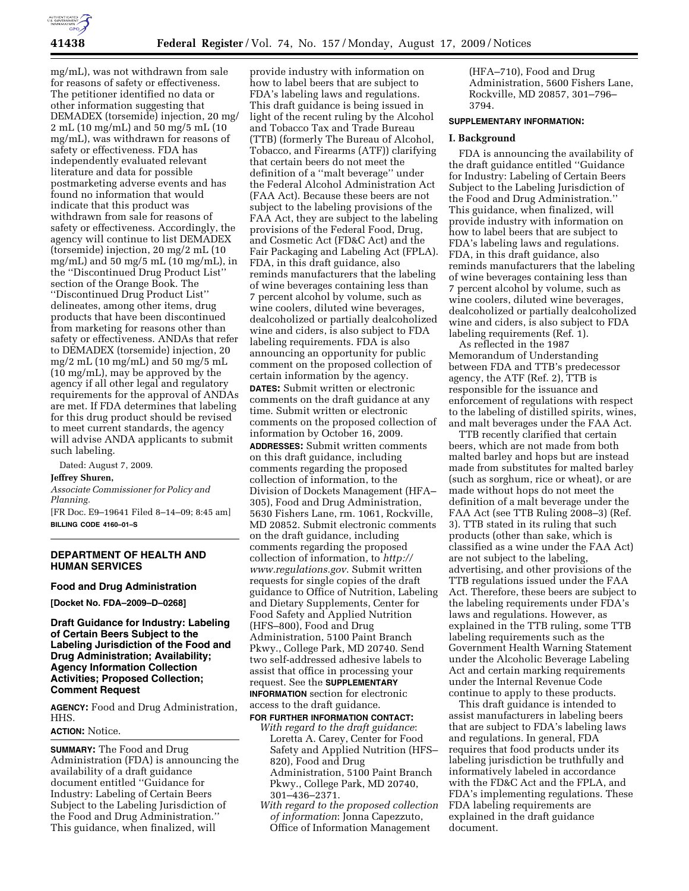

mg/mL), was not withdrawn from sale for reasons of safety or effectiveness. The petitioner identified no data or other information suggesting that DEMADEX (torsemide) injection, 20 mg/ 2 mL (10 mg/mL) and 50 mg/5 mL (10 mg/mL), was withdrawn for reasons of safety or effectiveness. FDA has independently evaluated relevant literature and data for possible postmarketing adverse events and has found no information that would indicate that this product was withdrawn from sale for reasons of safety or effectiveness. Accordingly, the agency will continue to list DEMADEX (torsemide) injection, 20 mg/2 mL (10 mg/mL) and 50 mg/5 mL (10 mg/mL), in the ''Discontinued Drug Product List'' section of the Orange Book. The ''Discontinued Drug Product List'' delineates, among other items, drug products that have been discontinued from marketing for reasons other than safety or effectiveness. ANDAs that refer to DEMADEX (torsemide) injection, 20 mg/2 mL (10 mg/mL) and 50 mg/5 mL (10 mg/mL), may be approved by the agency if all other legal and regulatory requirements for the approval of ANDAs are met. If FDA determines that labeling for this drug product should be revised to meet current standards, the agency will advise ANDA applicants to submit such labeling.

Dated: August 7, 2009.

# **Jeffrey Shuren,**

*Associate Commissioner for Policy and Planning.* 

[FR Doc. E9–19641 Filed 8–14–09; 8:45 am] **BILLING CODE 4160–01–S** 

# **DEPARTMENT OF HEALTH AND HUMAN SERVICES**

### **Food and Drug Administration**

**[Docket No. FDA–2009–D–0268]** 

# **Draft Guidance for Industry: Labeling of Certain Beers Subject to the Labeling Jurisdiction of the Food and Drug Administration; Availability; Agency Information Collection Activities; Proposed Collection; Comment Request**

**AGENCY:** Food and Drug Administration, HHS.

## **ACTION:** Notice.

**SUMMARY:** The Food and Drug Administration (FDA) is announcing the availability of a draft guidance document entitled ''Guidance for Industry: Labeling of Certain Beers Subject to the Labeling Jurisdiction of the Food and Drug Administration.'' This guidance, when finalized, will

provide industry with information on how to label beers that are subject to FDA's labeling laws and regulations. This draft guidance is being issued in light of the recent ruling by the Alcohol and Tobacco Tax and Trade Bureau (TTB) (formerly The Bureau of Alcohol, Tobacco, and Firearms (ATF)) clarifying that certain beers do not meet the definition of a ''malt beverage'' under the Federal Alcohol Administration Act (FAA Act). Because these beers are not subject to the labeling provisions of the FAA Act, they are subject to the labeling provisions of the Federal Food, Drug, and Cosmetic Act (FD&C Act) and the Fair Packaging and Labeling Act (FPLA). FDA, in this draft guidance, also reminds manufacturers that the labeling of wine beverages containing less than 7 percent alcohol by volume, such as wine coolers, diluted wine beverages, dealcoholized or partially dealcoholized wine and ciders, is also subject to FDA labeling requirements. FDA is also announcing an opportunity for public comment on the proposed collection of certain information by the agency. **DATES:** Submit written or electronic comments on the draft guidance at any time. Submit written or electronic comments on the proposed collection of information by October 16, 2009. **ADDRESSES:** Submit written comments on this draft guidance, including comments regarding the proposed collection of information, to the Division of Dockets Management (HFA– 305), Food and Drug Administration, 5630 Fishers Lane, rm. 1061, Rockville, MD 20852. Submit electronic comments on the draft guidance, including comments regarding the proposed collection of information, to *http:// www.regulations.gov*. Submit written requests for single copies of the draft guidance to Office of Nutrition, Labeling and Dietary Supplements, Center for Food Safety and Applied Nutrition (HFS–800), Food and Drug Administration, 5100 Paint Branch Pkwy., College Park, MD 20740. Send two self-addressed adhesive labels to assist that office in processing your request. See the **SUPPLEMENTARY INFORMATION** section for electronic access to the draft guidance.

**FOR FURTHER INFORMATION CONTACT:** 

*With regard to the draft guidance*: Loretta A. Carey, Center for Food Safety and Applied Nutrition (HFS– 820), Food and Drug Administration, 5100 Paint Branch Pkwy., College Park, MD 20740, 301–436–2371.

*With regard to the proposed collection of information*: Jonna Capezzuto, Office of Information Management

(HFA–710), Food and Drug Administration, 5600 Fishers Lane, Rockville, MD 20857, 301–796– 3794.

### **SUPPLEMENTARY INFORMATION:**

## **I. Background**

FDA is announcing the availability of the draft guidance entitled ''Guidance for Industry: Labeling of Certain Beers Subject to the Labeling Jurisdiction of the Food and Drug Administration.'' This guidance, when finalized, will provide industry with information on how to label beers that are subject to FDA's labeling laws and regulations. FDA, in this draft guidance, also reminds manufacturers that the labeling of wine beverages containing less than 7 percent alcohol by volume, such as wine coolers, diluted wine beverages, dealcoholized or partially dealcoholized wine and ciders, is also subject to FDA labeling requirements (Ref. 1).

As reflected in the 1987 Memorandum of Understanding between FDA and TTB's predecessor agency, the ATF (Ref. 2), TTB is responsible for the issuance and enforcement of regulations with respect to the labeling of distilled spirits, wines, and malt beverages under the FAA Act.

TTB recently clarified that certain beers, which are not made from both malted barley and hops but are instead made from substitutes for malted barley (such as sorghum, rice or wheat), or are made without hops do not meet the definition of a malt beverage under the FAA Act (see TTB Ruling 2008–3) (Ref. 3). TTB stated in its ruling that such products (other than sake, which is classified as a wine under the FAA Act) are not subject to the labeling, advertising, and other provisions of the TTB regulations issued under the FAA Act. Therefore, these beers are subject to the labeling requirements under FDA's laws and regulations. However, as explained in the TTB ruling, some TTB labeling requirements such as the Government Health Warning Statement under the Alcoholic Beverage Labeling Act and certain marking requirements under the Internal Revenue Code continue to apply to these products.

This draft guidance is intended to assist manufacturers in labeling beers that are subject to FDA's labeling laws and regulations. In general, FDA requires that food products under its labeling jurisdiction be truthfully and informatively labeled in accordance with the FD&C Act and the FPLA, and FDA's implementing regulations. These FDA labeling requirements are explained in the draft guidance document.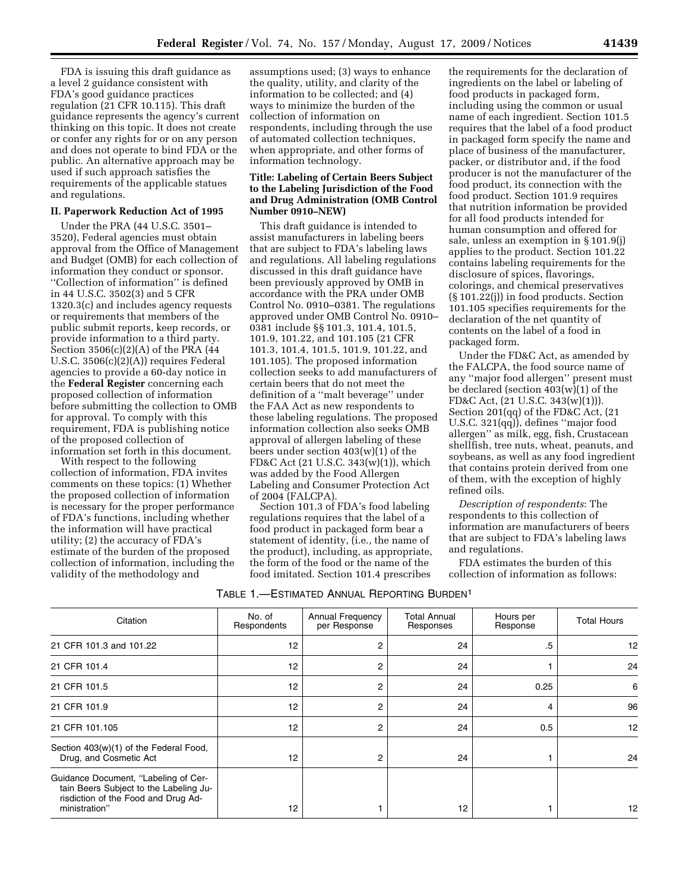FDA is issuing this draft guidance as a level 2 guidance consistent with FDA's good guidance practices regulation (21 CFR 10.115). This draft guidance represents the agency's current thinking on this topic. It does not create or confer any rights for or on any person and does not operate to bind FDA or the public. An alternative approach may be used if such approach satisfies the requirements of the applicable statues and regulations.

### **II. Paperwork Reduction Act of 1995**

Under the PRA (44 U.S.C. 3501– 3520), Federal agencies must obtain approval from the Office of Management and Budget (OMB) for each collection of information they conduct or sponsor. ''Collection of information'' is defined in 44 U.S.C. 3502(3) and 5 CFR 1320.3(c) and includes agency requests or requirements that members of the public submit reports, keep records, or provide information to a third party. Section 3506(c)(2)(A) of the PRA (44 U.S.C. 3506(c)(2)(A)) requires Federal agencies to provide a 60-day notice in the **Federal Register** concerning each proposed collection of information before submitting the collection to OMB for approval. To comply with this requirement, FDA is publishing notice of the proposed collection of information set forth in this document.

With respect to the following collection of information, FDA invites comments on these topics: (1) Whether the proposed collection of information is necessary for the proper performance of FDA's functions, including whether the information will have practical utility; (2) the accuracy of FDA's estimate of the burden of the proposed collection of information, including the validity of the methodology and

assumptions used; (3) ways to enhance the quality, utility, and clarity of the information to be collected; and (4) ways to minimize the burden of the collection of information on respondents, including through the use of automated collection techniques, when appropriate, and other forms of information technology.

## **Title: Labeling of Certain Beers Subject to the Labeling Jurisdiction of the Food and Drug Administration (OMB Control Number 0910–NEW)**

This draft guidance is intended to assist manufacturers in labeling beers that are subject to FDA's labeling laws and regulations. All labeling regulations discussed in this draft guidance have been previously approved by OMB in accordance with the PRA under OMB Control No. 0910–0381. The regulations approved under OMB Control No. 0910– 0381 include §§ 101.3, 101.4, 101.5, 101.9, 101.22, and 101.105 (21 CFR 101.3, 101.4, 101.5, 101.9, 101.22, and 101.105). The proposed information collection seeks to add manufacturers of certain beers that do not meet the definition of a ''malt beverage'' under the FAA Act as new respondents to these labeling regulations. The proposed information collection also seeks OMB approval of allergen labeling of these beers under section  $403(w)(1)$  of the FD&C Act (21 U.S.C. 343(w)(1)), which was added by the Food Allergen Labeling and Consumer Protection Act of 2004 (FALCPA).

Section 101.3 of FDA's food labeling regulations requires that the label of a food product in packaged form bear a statement of identity, (i.e., the name of the product), including, as appropriate, the form of the food or the name of the food imitated. Section 101.4 prescribes

the requirements for the declaration of ingredients on the label or labeling of food products in packaged form, including using the common or usual name of each ingredient. Section 101.5 requires that the label of a food product in packaged form specify the name and place of business of the manufacturer, packer, or distributor and, if the food producer is not the manufacturer of the food product, its connection with the food product. Section 101.9 requires that nutrition information be provided for all food products intended for human consumption and offered for sale, unless an exemption in § 101.9(j) applies to the product. Section 101.22 contains labeling requirements for the disclosure of spices, flavorings, colorings, and chemical preservatives (§ 101.22(j)) in food products. Section 101.105 specifies requirements for the declaration of the net quantity of contents on the label of a food in packaged form.

Under the FD&C Act, as amended by the FALCPA, the food source name of any ''major food allergen'' present must be declared (section 403(w)(1) of the FD&C Act, (21 U.S.C. 343(w)(1))). Section 201(qq) of the FD&C Act, (21 U.S.C. 321(qq)), defines ''major food allergen'' as milk, egg, fish, Crustacean shellfish, tree nuts, wheat, peanuts, and soybeans, as well as any food ingredient that contains protein derived from one of them, with the exception of highly refined oils.

*Description of respondents*: The respondents to this collection of information are manufacturers of beers that are subject to FDA's labeling laws and regulations.

FDA estimates the burden of this collection of information as follows:

| TABLE 1.—ESTIMATED ANNUAL REPORTING BURDEN <sup>1</sup> |  |  |  |
|---------------------------------------------------------|--|--|--|
|---------------------------------------------------------|--|--|--|

| Citation                                                                                                                               | No. of<br>Respondents | Annual Frequency<br>per Response | <b>Total Annual</b><br>Responses | Hours per<br>Response | <b>Total Hours</b> |
|----------------------------------------------------------------------------------------------------------------------------------------|-----------------------|----------------------------------|----------------------------------|-----------------------|--------------------|
| 21 CFR 101.3 and 101.22                                                                                                                | 12                    | 2                                | 24                               | .5                    | 12                 |
| 21 CFR 101.4                                                                                                                           | 12                    | 2                                | 24                               |                       | 24                 |
| 21 CFR 101.5                                                                                                                           | 12                    | 2                                | 24                               | 0.25                  | 6                  |
| 21 CFR 101.9                                                                                                                           | 12                    | 2                                | 24                               | 4                     | 96                 |
| 21 CFR 101.105                                                                                                                         | 12                    | 2                                | 24                               | 0.5                   | 12                 |
| Section 403(w)(1) of the Federal Food,<br>Drug, and Cosmetic Act                                                                       | 12                    | 2                                | 24                               |                       | 24                 |
| Guidance Document, "Labeling of Cer-<br>tain Beers Subject to the Labeling Ju-<br>risdiction of the Food and Drug Ad-<br>ministration" | 12                    |                                  | 12                               |                       | 12                 |